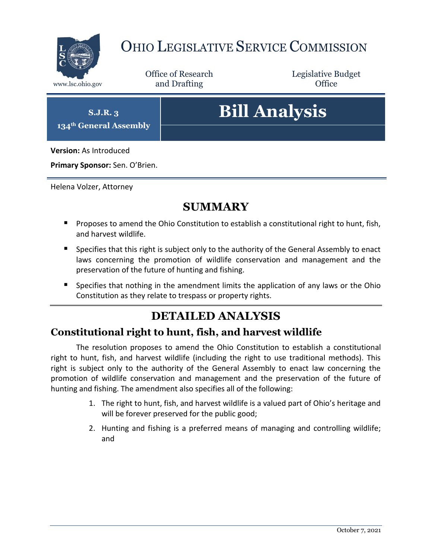

## OHIO LEGISLATIVE SERVICE COMMISSION

Office of Research www.lsc.ohio.gov **and Drafting Office** 

Legislative Budget

**S.J.R. 3 134th General Assembly**

# **Bill Analysis**

**Version:** As Introduced

**Primary Sponsor:** Sen. O'Brien.

Helena Volzer, Attorney

### **SUMMARY**

- **Proposes to amend the Ohio Constitution to establish a constitutional right to hunt, fish,** and harvest wildlife.
- **Specifies that this right is subject only to the authority of the General Assembly to enact** laws concerning the promotion of wildlife conservation and management and the preservation of the future of hunting and fishing.
- **Specifies that nothing in the amendment limits the application of any laws or the Ohio** Constitution as they relate to trespass or property rights.

## **DETAILED ANALYSIS**

#### **Constitutional right to hunt, fish, and harvest wildlife**

The resolution proposes to amend the Ohio Constitution to establish a constitutional right to hunt, fish, and harvest wildlife (including the right to use traditional methods). This right is subject only to the authority of the General Assembly to enact law concerning the promotion of wildlife conservation and management and the preservation of the future of hunting and fishing. The amendment also specifies all of the following:

- 1. The right to hunt, fish, and harvest wildlife is a valued part of Ohio's heritage and will be forever preserved for the public good;
- 2. Hunting and fishing is a preferred means of managing and controlling wildlife; and